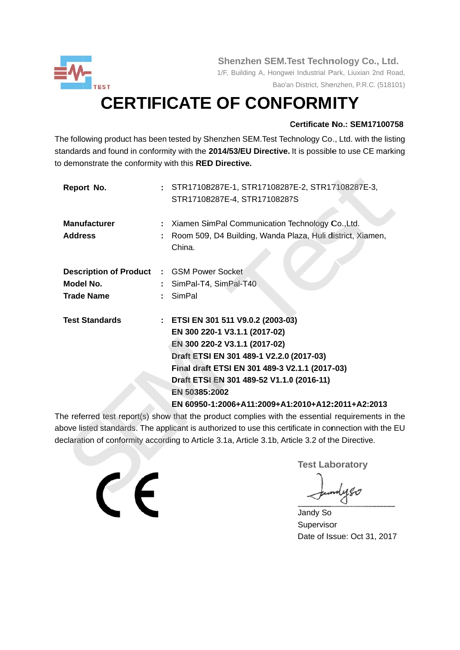

Shenzhen SEM. Test Technology Co., Ltd.

1/F, Building A, Hongwei Industrial Park, Liuxian 2nd Road, Bao'an District, Shenzhen, P.R.C. (518101)

# **CERTIFICATE OF CONFORMITY**

### Certificate No.: SEM17100758

The following product has been tested by Shenzhen SEM. Test Technology Co., Ltd. with the listing standards and found in conformity with the 2014/53/EU Directive. It is possible to use CE marking to demonstrate the conformity with this RED Directive.

| Report No.                                                                         | : STR17108287E-1, STR17108287E-2, STR17108287E-3,<br>STR17108287E-4, STR17108287S                                                                                                                                                                                                                                     |
|------------------------------------------------------------------------------------|-----------------------------------------------------------------------------------------------------------------------------------------------------------------------------------------------------------------------------------------------------------------------------------------------------------------------|
| <b>Manufacturer</b><br><b>Address</b>                                              | : Xiamen SimPal Communication Technology Co., Ltd.<br>Room 509, D4 Building, Wanda Plaza, Huli district, Xiamen,<br>China.                                                                                                                                                                                            |
| <b>Description of Product : GSM Power Socket</b><br>Model No.<br><b>Trade Name</b> | SimPal-T4, SimPal-T40<br>SimPal                                                                                                                                                                                                                                                                                       |
| <b>Test Standards</b>                                                              | : ETSI EN 301 511 V9.0.2 (2003-03)<br>EN 300 220-1 V3.1.1 (2017-02)<br>EN 300 220-2 V3.1.1 (2017-02)<br>Draft ETSI EN 301 489-1 V2.2.0 (2017-03)<br>Final draft ETSI EN 301 489-3 V2.1.1 (2017-03)<br>Draft ETSI EN 301 489-52 V1.1.0 (2016-11)<br>EN 50385:2002<br>EN 60950-1:2006+A11:2009+A1:2010+A12:2011+A2:2013 |

The referred test report(s) show that the product complies with the essential requirements in the above listed standards. The applicant is authorized to use this certificate in connection with the EU declaration of conformity according to Article 3.1a, Article 3.1b, Article 3.2 of the Directive.

**Test Laboratory** 

Jandy So Supervisor Date of Issue: Oct 31, 2017